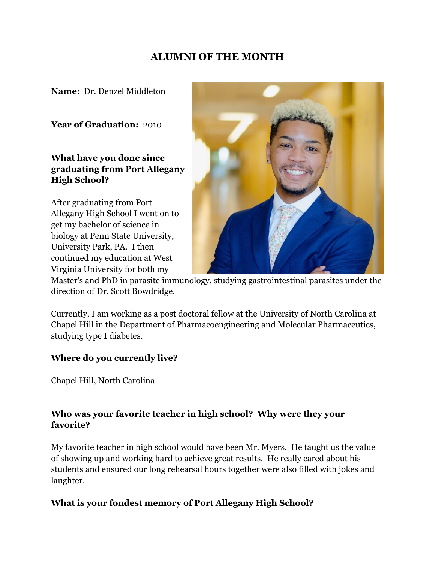## **ALUMNI OF THE MONTH**

**Name:** Dr. Denzel Middleton

**Year of Graduation:** 2010

**What have you done since graduating from Port Allegany High School?**

After graduating from Port Allegany High School I went on to get my bachelor of science in biology at Penn State University, University Park, PA. I then continued my education at West Virginia University for both my



Master's and PhD in parasite immunology, studying gastrointestinal parasites under the direction of Dr. Scott Bowdridge.

Currently, I am working as a post doctoral fellow at the University of North Carolina at Chapel Hill in the Department of Pharmacoengineering and Molecular Pharmaceutics, studying type I diabetes.

## **Where do you currently live?**

Chapel Hill, North Carolina

## **Who was your favorite teacher in high school? Why were they your favorite?**

My favorite teacher in high school would have been Mr. Myers. He taught us the value of showing up and working hard to achieve great results. He really cared about his students and ensured our long rehearsal hours together were also filled with jokes and laughter.

## **What is your fondest memory of Port Allegany High School?**